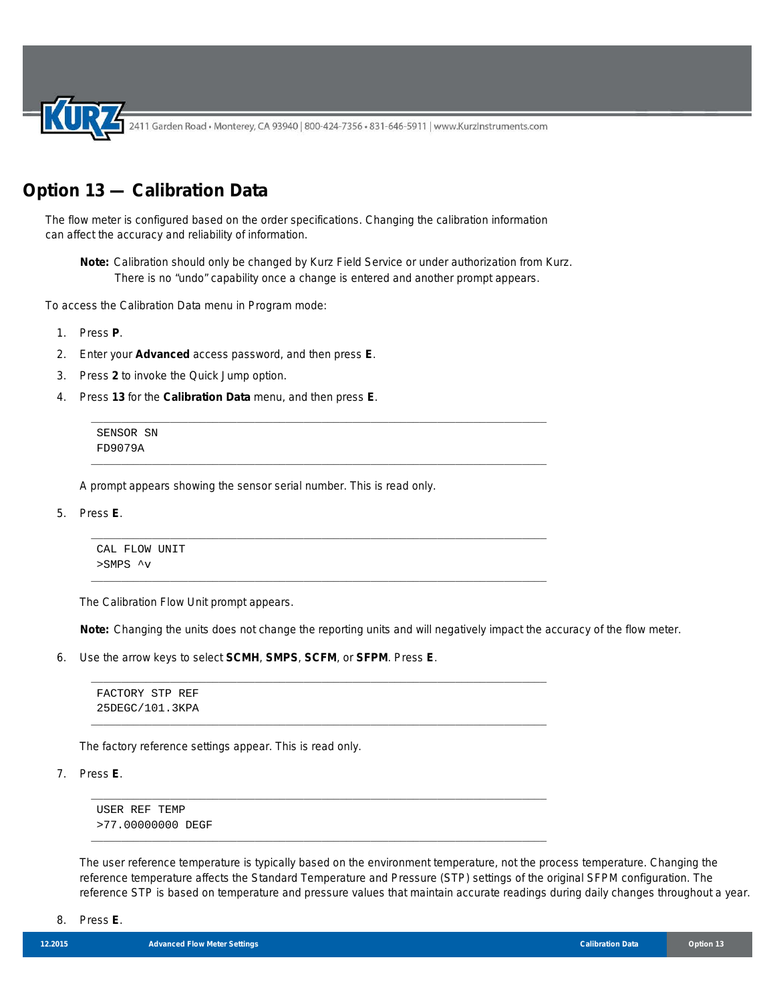2411 Garden Road • Monterey, CA 93940 | 800-424-7356 • 831-646-5911 | www.KurzInstruments.com

## **Option 13 — Calibration Data**

The flow meter is configured based on the order specifications. Changing the calibration information can affect the accuracy and reliability of information.

**Note:** Calibration should only be changed by Kurz Field Service or under authorization from Kurz. There is no "undo" capability once a change is entered and another prompt appears.

\_\_\_\_\_\_\_\_\_\_\_\_\_\_\_\_\_\_\_\_\_\_\_\_\_\_\_\_\_\_\_\_\_\_\_\_\_\_\_\_\_\_\_\_\_\_\_\_\_\_\_\_\_\_\_\_\_\_\_\_\_\_\_\_\_\_\_\_\_\_\_\_\_\_\_

\_\_\_\_\_\_\_\_\_\_\_\_\_\_\_\_\_\_\_\_\_\_\_\_\_\_\_\_\_\_\_\_\_\_\_\_\_\_\_\_\_\_\_\_\_\_\_\_\_\_\_\_\_\_\_\_\_\_\_\_\_\_\_\_\_\_\_\_\_\_\_\_\_\_\_

\_\_\_\_\_\_\_\_\_\_\_\_\_\_\_\_\_\_\_\_\_\_\_\_\_\_\_\_\_\_\_\_\_\_\_\_\_\_\_\_\_\_\_\_\_\_\_\_\_\_\_\_\_\_\_\_\_\_\_\_\_\_\_\_\_\_\_\_\_\_\_\_\_\_\_

\_\_\_\_\_\_\_\_\_\_\_\_\_\_\_\_\_\_\_\_\_\_\_\_\_\_\_\_\_\_\_\_\_\_\_\_\_\_\_\_\_\_\_\_\_\_\_\_\_\_\_\_\_\_\_\_\_\_\_\_\_\_\_\_\_\_\_\_\_\_\_\_\_\_\_

\_\_\_\_\_\_\_\_\_\_\_\_\_\_\_\_\_\_\_\_\_\_\_\_\_\_\_\_\_\_\_\_\_\_\_\_\_\_\_\_\_\_\_\_\_\_\_\_\_\_\_\_\_\_\_\_\_\_\_\_\_\_\_\_\_\_\_\_\_\_\_\_\_\_\_

\_\_\_\_\_\_\_\_\_\_\_\_\_\_\_\_\_\_\_\_\_\_\_\_\_\_\_\_\_\_\_\_\_\_\_\_\_\_\_\_\_\_\_\_\_\_\_\_\_\_\_\_\_\_\_\_\_\_\_\_\_\_\_\_\_\_\_\_\_\_\_\_\_\_\_

\_\_\_\_\_\_\_\_\_\_\_\_\_\_\_\_\_\_\_\_\_\_\_\_\_\_\_\_\_\_\_\_\_\_\_\_\_\_\_\_\_\_\_\_\_\_\_\_\_\_\_\_\_\_\_\_\_\_\_\_\_\_\_\_\_\_\_\_\_\_\_\_\_\_\_

\_\_\_\_\_\_\_\_\_\_\_\_\_\_\_\_\_\_\_\_\_\_\_\_\_\_\_\_\_\_\_\_\_\_\_\_\_\_\_\_\_\_\_\_\_\_\_\_\_\_\_\_\_\_\_\_\_\_\_\_\_\_\_\_\_\_\_\_\_\_\_\_\_\_\_

To access the Calibration Data menu in Program mode:

- 1. Press **P**.
- 2. Enter your **Advanced** access password, and then press **E**.
- 3. Press **2** to invoke the Quick Jump option.
- 4. Press **13** for the **Calibration Data** menu, and then press **E**.

SENSOR SN FD9079A

A prompt appears showing the sensor serial number. This is read only.

5. Press **E**.

CAL FLOW UNIT >SMPS ^v

The Calibration Flow Unit prompt appears.

**Note:** Changing the units does not change the reporting units and will negatively impact the accuracy of the flow meter.

6. Use the arrow keys to select **SCMH**, **SMPS**, **SCFM**, or **SFPM**. Press **E**.

FACTORY STP REF 25DEGC/101.3KPA

The factory reference settings appear. This is read only.

7. Press **E**.

USER REF TEMP >77.00000000 DEGF

The user reference temperature is typically based on the environment temperature, not the process temperature. Changing the reference temperature affects the Standard Temperature and Pressure (STP) settings of the original SFPM configuration. The reference STP is based on temperature and pressure values that maintain accurate readings during daily changes throughout a year.

8. Press **E**.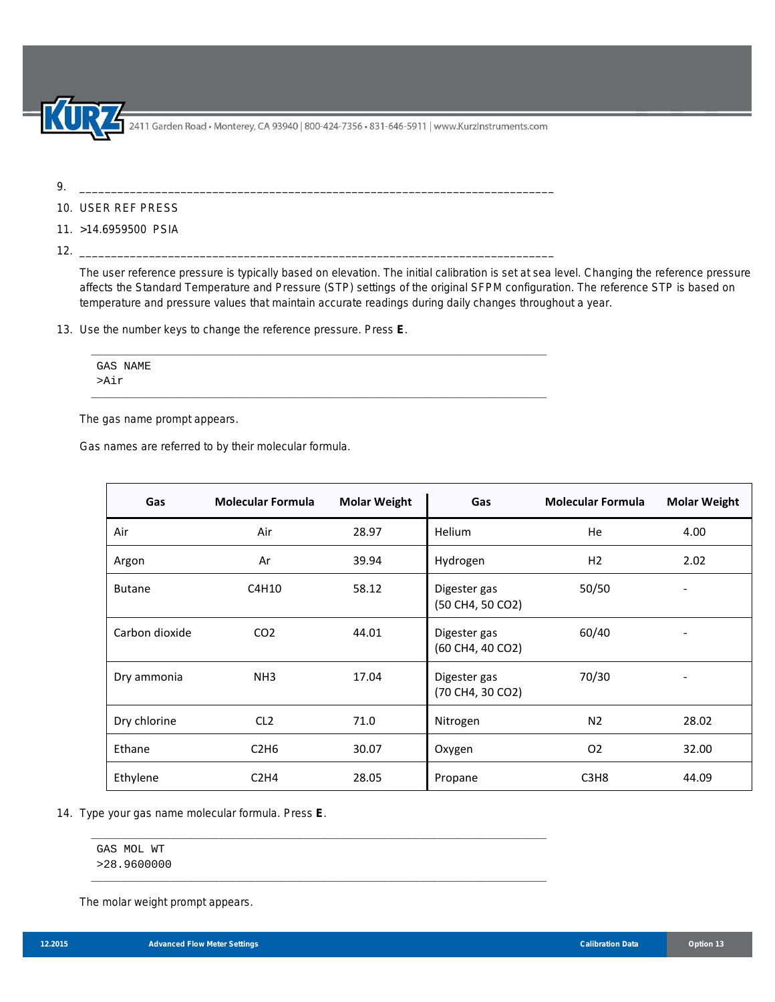.<br>2411 Garden Road • Monterey, CA 93940 | 800-424-7356 • 831-646-5911 | www.KurzInstruments.com

9. \_\_\_\_\_\_\_\_\_\_\_\_\_\_\_\_\_\_\_\_\_\_\_\_\_\_\_\_\_\_\_\_\_\_\_\_\_\_\_\_\_\_\_\_\_\_\_\_\_\_\_\_\_\_\_\_\_\_\_\_\_\_\_\_\_\_\_\_\_\_\_\_\_\_\_

- 10. USER REF PRESS
- 11. >14.6959500 PSIA

12. \_\_\_\_\_\_\_\_\_\_\_\_\_\_\_\_\_\_\_\_\_\_\_\_\_\_\_\_\_\_\_\_\_\_\_\_\_\_\_\_\_\_\_\_\_\_\_\_\_\_\_\_\_\_\_\_\_\_\_\_\_\_\_\_\_\_\_\_\_\_\_\_\_\_\_

The user reference pressure is typically based on elevation. The initial calibration is set at sea level. Changing the reference pressure affects the Standard Temperature and Pressure (STP) settings of the original SFPM configuration. The reference STP is based on temperature and pressure values that maintain accurate readings during daily changes throughout a year.

13. Use the number keys to change the reference pressure. Press **E**.

| GAS NAME |  |  |  |
|----------|--|--|--|
|          |  |  |  |
| >Air     |  |  |  |
|          |  |  |  |
|          |  |  |  |

\_\_\_\_\_\_\_\_\_\_\_\_\_\_\_\_\_\_\_\_\_\_\_\_\_\_\_\_\_\_\_\_\_\_\_\_\_\_\_\_\_\_\_\_\_\_\_\_\_\_\_\_\_\_\_\_\_\_\_\_\_\_\_\_\_\_\_\_\_\_\_\_\_\_\_

\_\_\_\_\_\_\_\_\_\_\_\_\_\_\_\_\_\_\_\_\_\_\_\_\_\_\_\_\_\_\_\_\_\_\_\_\_\_\_\_\_\_\_\_\_\_\_\_\_\_\_\_\_\_\_\_\_\_\_\_\_\_\_\_\_\_\_\_\_\_\_\_\_\_\_

The gas name prompt appears.

Gas names are referred to by their molecular formula.

| Gas            | <b>Molecular Formula</b> | <b>Molar Weight</b> | Gas                              | <b>Molecular Formula</b>      | <b>Molar Weight</b>          |
|----------------|--------------------------|---------------------|----------------------------------|-------------------------------|------------------------------|
| Air            | Air                      | 28.97               | <b>Helium</b>                    | He                            | 4.00                         |
| Argon          | Ar                       | 39.94               | Hydrogen                         | H <sub>2</sub>                | 2.02                         |
| <b>Butane</b>  | C4H10                    | 58.12               | Digester gas<br>(50 CH4, 50 CO2) | 50/50                         |                              |
| Carbon dioxide | CO <sub>2</sub>          | 44.01               | Digester gas<br>(60 CH4, 40 CO2) | 60/40                         | $\qquad \qquad \blacksquare$ |
| Dry ammonia    | NH <sub>3</sub>          | 17.04               | Digester gas<br>(70 CH4, 30 CO2) | 70/30                         |                              |
| Dry chlorine   | CL <sub>2</sub>          | 71.0                | Nitrogen                         | N <sub>2</sub>                | 28.02                        |
| Ethane         | C2H6                     | 30.07               | Oxygen                           | O <sub>2</sub>                | 32.00                        |
| Ethylene       | C2H4                     | 28.05               | Propane                          | C <sub>3</sub> H <sub>8</sub> | 44.09                        |

## 14. Type your gas name molecular formula. Press **E**.

GAS MOL WT >28.9600000

The molar weight prompt appears.

 $\overline{a}$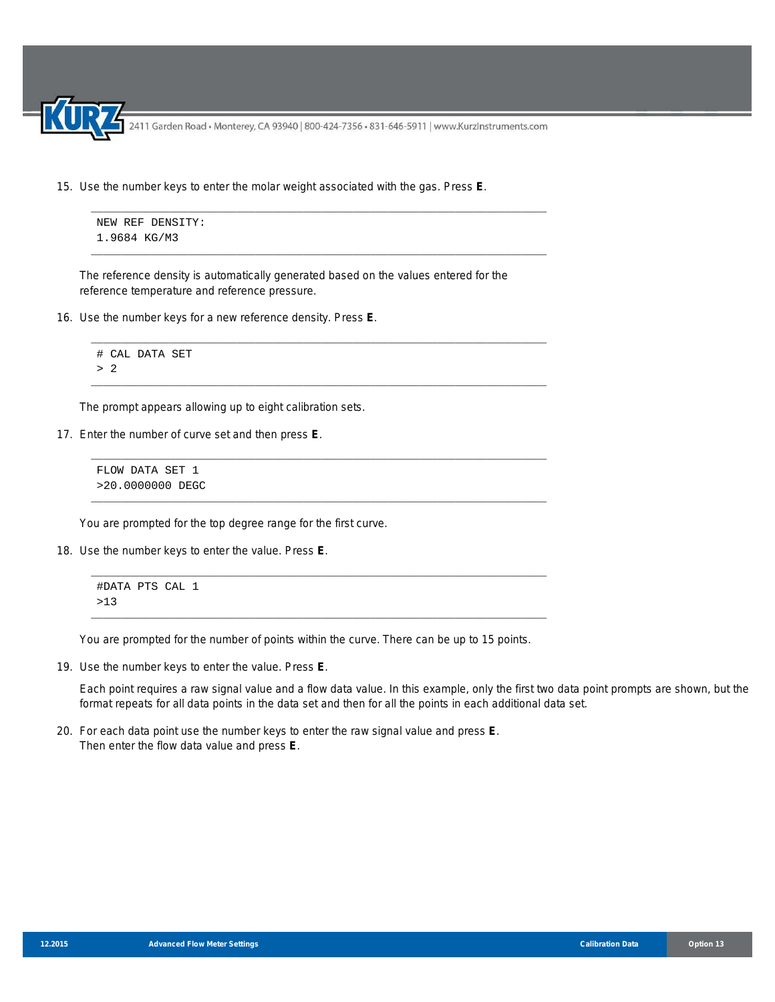2411 Garden Road • Monterey, CA 93940 | 800-424-7356 • 831-646-5911 | www.KurzInstruments.com

\_\_\_\_\_\_\_\_\_\_\_\_\_\_\_\_\_\_\_\_\_\_\_\_\_\_\_\_\_\_\_\_\_\_\_\_\_\_\_\_\_\_\_\_\_\_\_\_\_\_\_\_\_\_\_\_\_\_\_\_\_\_\_\_\_\_\_\_\_\_\_\_\_\_\_

\_\_\_\_\_\_\_\_\_\_\_\_\_\_\_\_\_\_\_\_\_\_\_\_\_\_\_\_\_\_\_\_\_\_\_\_\_\_\_\_\_\_\_\_\_\_\_\_\_\_\_\_\_\_\_\_\_\_\_\_\_\_\_\_\_\_\_\_\_\_\_\_\_\_\_

\_\_\_\_\_\_\_\_\_\_\_\_\_\_\_\_\_\_\_\_\_\_\_\_\_\_\_\_\_\_\_\_\_\_\_\_\_\_\_\_\_\_\_\_\_\_\_\_\_\_\_\_\_\_\_\_\_\_\_\_\_\_\_\_\_\_\_\_\_\_\_\_\_\_\_

\_\_\_\_\_\_\_\_\_\_\_\_\_\_\_\_\_\_\_\_\_\_\_\_\_\_\_\_\_\_\_\_\_\_\_\_\_\_\_\_\_\_\_\_\_\_\_\_\_\_\_\_\_\_\_\_\_\_\_\_\_\_\_\_\_\_\_\_\_\_\_\_\_\_\_

\_\_\_\_\_\_\_\_\_\_\_\_\_\_\_\_\_\_\_\_\_\_\_\_\_\_\_\_\_\_\_\_\_\_\_\_\_\_\_\_\_\_\_\_\_\_\_\_\_\_\_\_\_\_\_\_\_\_\_\_\_\_\_\_\_\_\_\_\_\_\_\_\_\_\_

\_\_\_\_\_\_\_\_\_\_\_\_\_\_\_\_\_\_\_\_\_\_\_\_\_\_\_\_\_\_\_\_\_\_\_\_\_\_\_\_\_\_\_\_\_\_\_\_\_\_\_\_\_\_\_\_\_\_\_\_\_\_\_\_\_\_\_\_\_\_\_\_\_\_\_

\_\_\_\_\_\_\_\_\_\_\_\_\_\_\_\_\_\_\_\_\_\_\_\_\_\_\_\_\_\_\_\_\_\_\_\_\_\_\_\_\_\_\_\_\_\_\_\_\_\_\_\_\_\_\_\_\_\_\_\_\_\_\_\_\_\_\_\_\_\_\_\_\_\_\_

\_\_\_\_\_\_\_\_\_\_\_\_\_\_\_\_\_\_\_\_\_\_\_\_\_\_\_\_\_\_\_\_\_\_\_\_\_\_\_\_\_\_\_\_\_\_\_\_\_\_\_\_\_\_\_\_\_\_\_\_\_\_\_\_\_\_\_\_\_\_\_\_\_\_\_

15. Use the number keys to enter the molar weight associated with the gas. Press **E**.

```
NEW REF DENSITY:
1.9684 KG/M3
```
The reference density is automatically generated based on the values entered for the reference temperature and reference pressure.

16. Use the number keys for a new reference density. Press **E**.

```
# CAL DATA SET
> 2
```
The prompt appears allowing up to eight calibration sets.

17. Enter the number of curve set and then press **E**.

FLOW DATA SET 1 >20.0000000 DEGC

You are prompted for the top degree range for the first curve.

18. Use the number keys to enter the value. Press **E**.

```
#DATA PTS CAL 1
>13
```
You are prompted for the number of points within the curve. There can be up to 15 points.

19. Use the number keys to enter the value. Press **E**.

Each point requires a raw signal value and a flow data value. In this example, only the first two data point prompts are shown, but the format repeats for all data points in the data set and then for all the points in each additional data set.

20. For each data point use the number keys to enter the raw signal value and press **E**. Then enter the flow data value and press **E**.